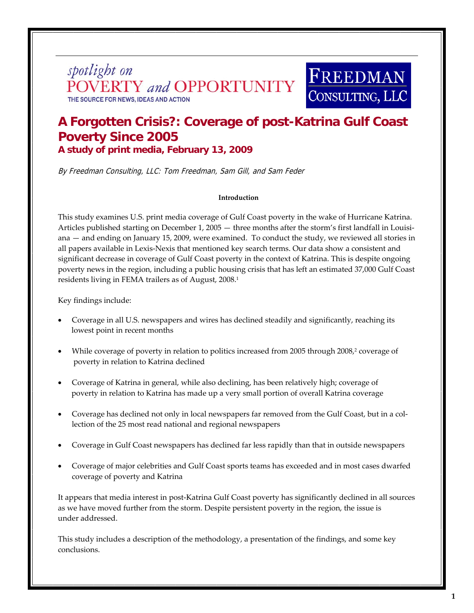spotlight on **NVERTY** and **OPPORTUNITY** THE SOURCE FOR NEWS, IDEAS AND ACTION



# **A Forgotten Crisis?: Coverage of post-Katrina Gulf Coast Poverty Since 2005 A study of print media, February 13, 2009**

By Freedman Consulting, LLC: Tom Freedman, Sam Gill, and Sam Feder

#### **Introduction**

This study examines U.S. print media coverage of Gulf Coast poverty in the wake of Hurricane Katrina. Articles published starting on December 1, 2005 — three months after the storm's first landfall in Louisiana — and ending on January 15, 2009, were examined. To conduct the study, we reviewed all stories in all papers available in Lexis‐Nexis that mentioned key search terms. Our data show a consistent and significant decrease in coverage of Gulf Coast poverty in the context of Katrina. This is despite ongoing poverty news in the region, including a public housing crisis that has left an estimated 37,000 Gulf Coast residents living in FEMA trailers as of August, 2008.<sup>1</sup>

Key findings include:

- Coverage in all U.S. newspapers and wires has declined steadily and significantly, reaching its lowest point in recent months
- While coverage of poverty in relation to politics increased from 2005 through 2008,<sup>2</sup> coverage of poverty in relation to Katrina declined
- Coverage of Katrina in general, while also declining, has been relatively high; coverage of poverty in relation to Katrina has made up a very small portion of overall Katrina coverage
- Coverage has declined not only in local newspapers far removed from the Gulf Coast, but in a col‐ lection of the 25 most read national and regional newspapers
- Coverage in Gulf Coast newspapers has declined far less rapidly than that in outside newspapers
- Coverage of major celebrities and Gulf Coast sports teams has exceeded and in most cases dwarfed coverage of poverty and Katrina

It appears that media interest in post-Katrina Gulf Coast poverty has significantly declined in all sources as we have moved further from the storm. Despite persistent poverty in the region, the issue is under addressed.

This study includes a description of the methodology, a presentation of the findings, and some key conclusions.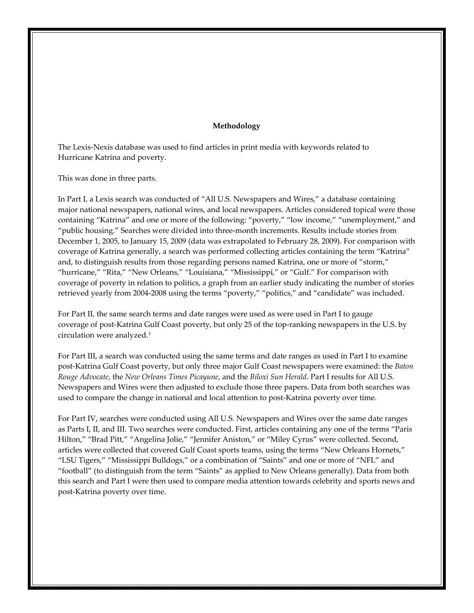#### **Methodology**

The Lexis‐Nexis database was used to find articles in print media with keywords related to Hurricane Katrina and poverty.

This was done in three parts.

In Part I, a Lexis search was conducted of "All U.S. Newspapers and Wires," a database containing major national newspapers, national wires, and local newspapers. Articles considered topical were those containing "Katrina" and one or more of the following: "poverty," "low income," "unemployment," and "public housing." Searches were divided into three‐month increments. Results include stories from December 1, 2005, to January 15, 2009 (data was extrapolated to February 28, 2009). For comparison with coverage of Katrina generally, a search was performed collecting articles containing the term "Katrina" and, to distinguish results from those regarding persons named Katrina, one or more of "storm," "hurricane," "Rita," "New Orleans," "Louisiana," "Mississippi," or "Gulf." For comparison with coverage of poverty in relation to politics, a graph from an earlier study indicating the number of stories retrieved yearly from 2004‐2008 using the terms "poverty," "politics," and "candidate" was included.

For Part II, the same search terms and date ranges were used as were used in Part I to gauge coverage of post‐Katrina Gulf Coast poverty, but only 25 of the top‐ranking newspapers in the U.S. by circulation were analyzed.3

For Part III, a search was conducted using the same terms and date ranges as used in Part I to examine post‐Katrina Gulf Coast poverty, but only three major Gulf Coast newspapers were examined: the *Baton Rouge Advocate*, the *New Orleans Times Picayune*, and the *Biloxi Sun Herald*. Part I results for All U.S. Newspapers and Wires were then adjusted to exclude those three papers. Data from both searches was used to compare the change in national and local attention to post-Katrina poverty over time.

For Part IV, searches were conducted using All U.S. Newspapers and Wires over the same date ranges as Parts I, II, and III. Two searches were conducted. First, articles containing any one of the terms "Paris Hilton," "Brad Pitt," "Angelina Jolie," "Jennifer Aniston," or "Miley Cyrus" were collected. Second, articles were collected that covered Gulf Coast sports teams, using the terms "New Orleans Hornets," "LSU Tigers," "Mississippi Bulldogs," or a combination of "Saints" and one or more of "NFL" and "football" (to distinguish from the term "Saints" as applied to New Orleans generally). Data from both this search and Part I were then used to compare media attention towards celebrity and sports news and post‐Katrina poverty over time.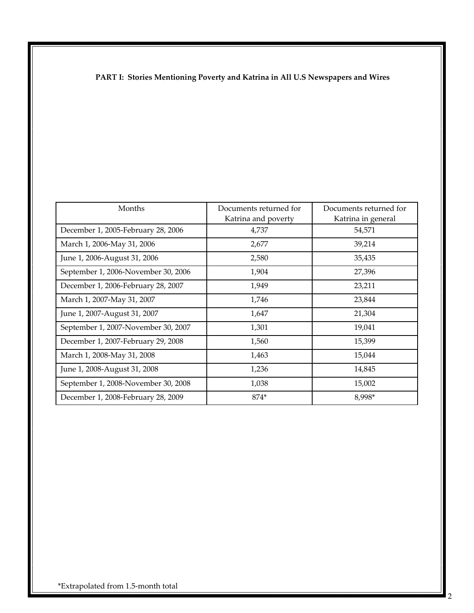## **PART I: Stories Mentioning Poverty and Katrina in All U.S Newspapers and Wires**

| Months                              | Documents returned for | Documents returned for |  |
|-------------------------------------|------------------------|------------------------|--|
|                                     | Katrina and poverty    | Katrina in general     |  |
| December 1, 2005-February 28, 2006  | 4,737                  | 54,571                 |  |
| March 1, 2006-May 31, 2006          | 2,677                  | 39,214                 |  |
| June 1, 2006-August 31, 2006        | 2,580                  | 35,435                 |  |
| September 1, 2006-November 30, 2006 | 1,904                  | 27,396                 |  |
| December 1, 2006-February 28, 2007  | 1,949                  | 23,211                 |  |
| March 1, 2007-May 31, 2007          | 1,746                  | 23,844                 |  |
| June 1, 2007-August 31, 2007        | 1,647                  | 21,304                 |  |
| September 1, 2007-November 30, 2007 | 1,301                  | 19,041                 |  |
| December 1, 2007-February 29, 2008  | 1,560                  | 15,399                 |  |
| March 1, 2008-May 31, 2008          | 1,463                  | 15,044                 |  |
| June 1, 2008-August 31, 2008        | 1,236                  | 14,845                 |  |
| September 1, 2008-November 30, 2008 | 1,038                  | 15,002                 |  |
| December 1, 2008-February 28, 2009  | 874*                   | 8,998*                 |  |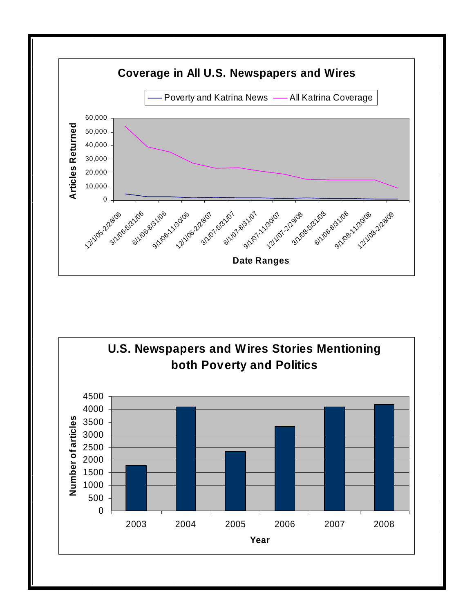

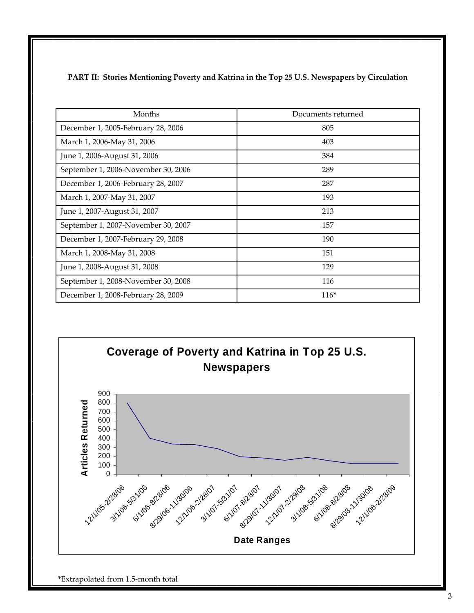| Months                              | Documents returned |
|-------------------------------------|--------------------|
| December 1, 2005-February 28, 2006  | 805                |
| March 1, 2006-May 31, 2006          | 403                |
| June 1, 2006-August 31, 2006        | 384                |
| September 1, 2006-November 30, 2006 | 289                |
| December 1, 2006-February 28, 2007  | 287                |
| March 1, 2007-May 31, 2007          | 193                |
| June 1, 2007-August 31, 2007        | 213                |
| September 1, 2007-November 30, 2007 | 157                |
| December 1, 2007-February 29, 2008  | 190                |
| March 1, 2008-May 31, 2008          | 151                |
| June 1, 2008-August 31, 2008        | 129                |
| September 1, 2008-November 30, 2008 | 116                |
| December 1, 2008-February 28, 2009  | $116*$             |



\*Extrapolated from 1.5‐month total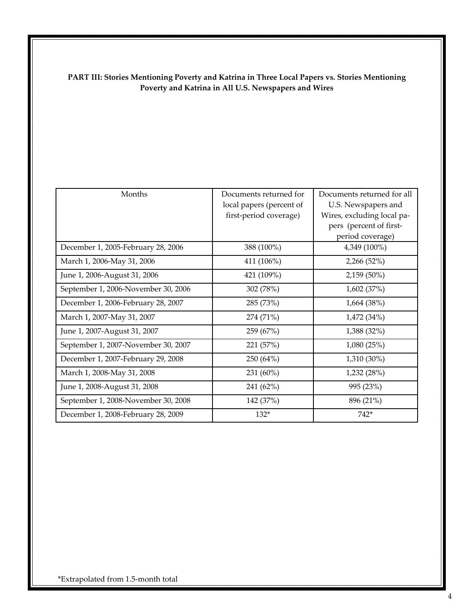### **PART III: Stories Mentioning Poverty and Katrina in Three Local Papers vs. Stories Mentioning Poverty and Katrina in All U.S. Newspapers and Wires**

| Months                              | Documents returned for<br>local papers (percent of<br>first-period coverage) | Documents returned for all<br>U.S. Newspapers and<br>Wires, excluding local pa-<br>pers (percent of first-<br>period coverage) |
|-------------------------------------|------------------------------------------------------------------------------|--------------------------------------------------------------------------------------------------------------------------------|
| December 1, 2005-February 28, 2006  | 388 (100%)                                                                   | 4,349 (100%)                                                                                                                   |
| March 1, 2006-May 31, 2006          | 411 (106%)                                                                   | 2,266 (52%)                                                                                                                    |
| June 1, 2006-August 31, 2006        | 421 (109%)                                                                   | 2,159 (50%)                                                                                                                    |
| September 1, 2006-November 30, 2006 | 302 (78%)                                                                    | 1,602 (37%)                                                                                                                    |
| December 1, 2006-February 28, 2007  | 285 (73%)                                                                    | 1,664 (38%)                                                                                                                    |
| March 1, 2007-May 31, 2007          | 274 (71%)                                                                    | 1,472(34%)                                                                                                                     |
| June 1, 2007-August 31, 2007        | 259 (67%)                                                                    | 1,388 (32%)                                                                                                                    |
| September 1, 2007-November 30, 2007 | 221 (57%)                                                                    | 1,080(25%)                                                                                                                     |
| December 1, 2007-February 29, 2008  | 250 (64%)                                                                    | 1,310 (30%)                                                                                                                    |
| March 1, 2008-May 31, 2008          | 231 (60%)                                                                    | 1,232 (28%)                                                                                                                    |
| June 1, 2008-August 31, 2008        | 241 (62%)                                                                    | 995 (23%)                                                                                                                      |
| September 1, 2008-November 30, 2008 | 142 (37%)                                                                    | 896 (21%)                                                                                                                      |
| December 1, 2008-February 28, 2009  | $132*$                                                                       | $742*$                                                                                                                         |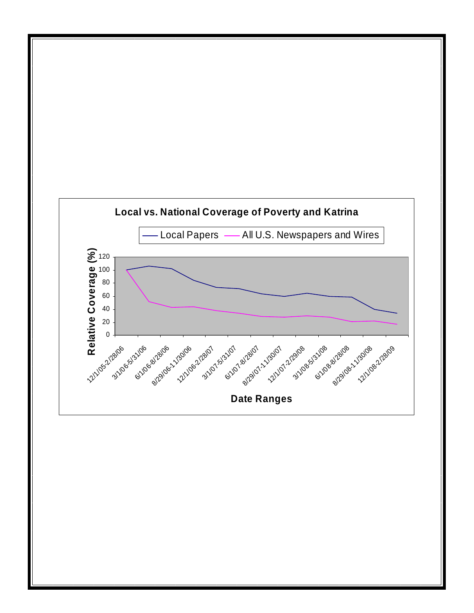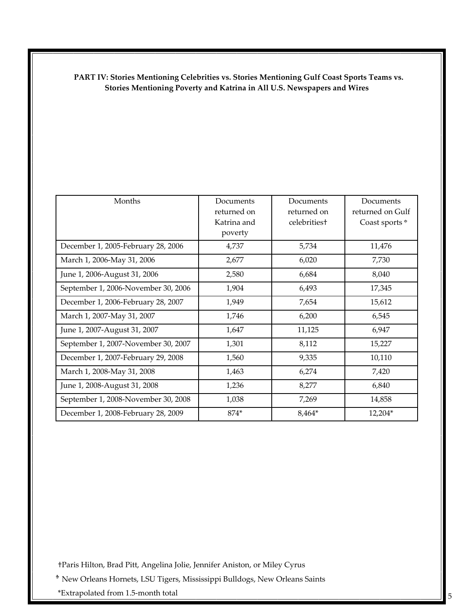### **PART IV: Stories Mentioning Celebrities vs. Stories Mentioning Gulf Coast Sports Teams vs. Stories Mentioning Poverty and Katrina in All U.S. Newspapers and Wires**

| Months                              | Documents<br>returned on<br>Katrina and<br>poverty | Documents<br>returned on<br>celebritiest | Documents<br>returned on Gulf<br>Coast sports <sup>+</sup> |
|-------------------------------------|----------------------------------------------------|------------------------------------------|------------------------------------------------------------|
| December 1, 2005-February 28, 2006  | 4,737                                              | 5,734                                    | 11,476                                                     |
| March 1, 2006-May 31, 2006          | 2,677                                              | 6,020                                    | 7,730                                                      |
| June 1, 2006-August 31, 2006        | 2,580                                              | 6,684                                    | 8,040                                                      |
| September 1, 2006-November 30, 2006 | 1,904                                              | 6,493                                    | 17,345                                                     |
| December 1, 2006-February 28, 2007  | 1,949                                              | 7,654                                    | 15,612                                                     |
| March 1, 2007-May 31, 2007          | 1,746                                              | 6,200                                    | 6,545                                                      |
| June 1, 2007-August 31, 2007        | 1,647                                              | 11,125                                   | 6,947                                                      |
| September 1, 2007-November 30, 2007 | 1,301                                              | 8,112                                    | 15,227                                                     |
| December 1, 2007-February 29, 2008  | 1,560                                              | 9,335                                    | 10,110                                                     |
| March 1, 2008-May 31, 2008          | 1,463                                              | 6,274                                    | 7,420                                                      |
| June 1, 2008-August 31, 2008        | 1,236                                              | 8,277                                    | 6,840                                                      |
| September 1, 2008-November 30, 2008 | 1,038                                              | 7,269                                    | 14,858                                                     |
| December 1, 2008-February 28, 2009  | $874*$                                             | 8,464*                                   | 12,204*                                                    |

†Paris Hilton, Brad Pitt, Angelina Jolie, Jennifer Aniston, or Miley Cyrus

New Orleans Hornets, LSU Tigers, Mississippi Bulldogs, New Orleans Saints

\*Extrapolated from 1.5‐month total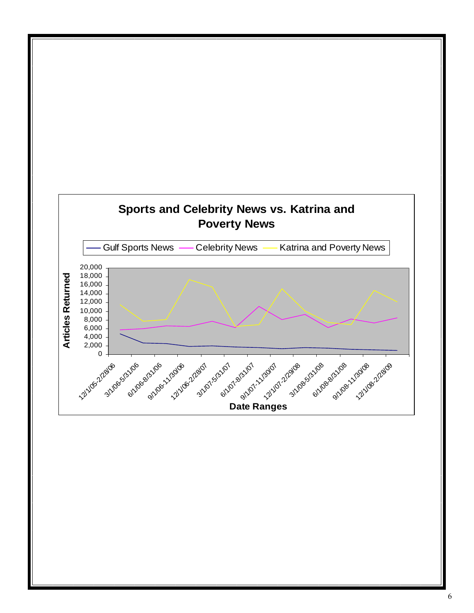